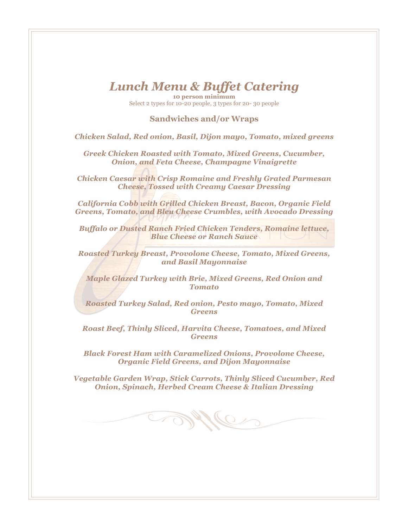## *Lunch Menu & Buffet Catering*

**10 person minimum** Select 2 types for 10-20 people, 3 types for 20- 30 people

#### **Sandwiches and/or Wraps**

*Chicken Salad, Red onion, Basil, Dijon mayo, Tomato, mixed greens*

*Greek Chicken Roasted with Tomato, Mixed Greens, Cucumber, Onion, and Feta Cheese, Champagne Vinaigrette*

*Chicken Caesar with Crisp Romaine and Freshly Grated Parmesan Cheese, Tossed with Creamy Caesar Dressing*

*California Cobb with Grilled Chicken Breast, Bacon, Organic Field Greens, Tomato, and Bleu Cheese Crumbles, with Avocado Dressing*

*Buffalo or Dusted Ranch Fried Chicken Tenders, Romaine lettuce, Blue Cheese or Ranch Sauce*

*Roasted Turkey Breast, Provolone Cheese, Tomato, Mixed Greens, and Basil Mayonnaise*

*Maple Glazed Turkey with Brie, Mixed Greens, Red Onion and Tomato*

*Roasted Turkey Salad, Red onion, Pesto mayo, Tomato, Mixed Greens*

*Roast Beef, Thinly Sliced, Harvita Cheese, Tomatoes, and Mixed Greens*

*Black Forest Ham with Caramelized Onions, Provolone Cheese, Organic Field Greens, and Dijon Mayonnaise*

*Vegetable Garden Wrap, Stick Carrots, Thinly Sliced Cucumber, Red Onion, Spinach, Herbed Cream Cheese & Italian Dressing*

Me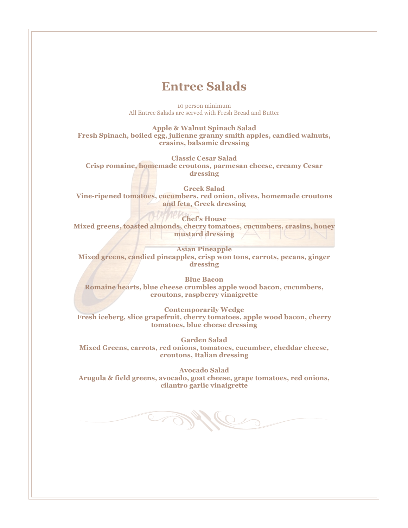### **Entree Salads**

10 person minimum All Entree Salads are served with Fresh Bread and Butter

**Apple & Walnut Spinach Salad Fresh Spinach, boiled egg, julienne granny smith apples, candied walnuts, crasins, balsamic dressing**

**Classic Cesar Salad Crisp romaine, homemade croutons, parmesan cheese, creamy Cesar dressing**

**Greek Salad Vine-ripened tomatoes, cucumbers, red onion, olives, homemade croutons and feta, Greek dressing**

**Chef's House Mixed greens, toasted almonds, cherry tomatoes, cucumbers, crasins, honey mustard dressing**

**Asian Pineapple Mixed greens, candied pineapples, crisp won tons, carrots, pecans, ginger dressing**

**Blue Bacon Romaine hearts, blue cheese crumbles apple wood bacon, cucumbers, croutons, raspberry vinaigrette**

**Contemporarily Wedge Fresh iceberg, slice grapefruit, cherry tomatoes, apple wood bacon, cherry tomatoes, blue cheese dressing**

**Garden Salad Mixed Greens, carrots, red onions, tomatoes, cucumber, cheddar cheese, croutons, Italian dressing**

**Avocado Salad Arugula & field greens, avocado, goat cheese, grape tomatoes, red onions, cilantro garlic vinaigrette**

Mile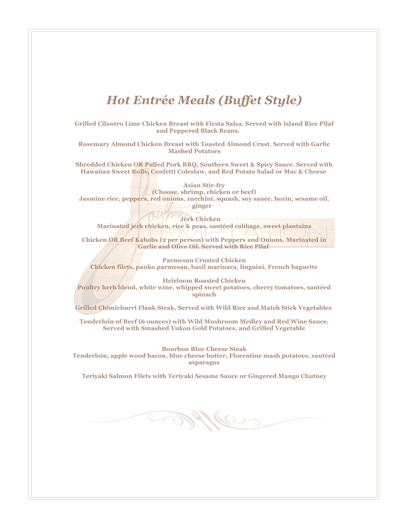# *Hot Entrée Meals (Buffet Style)*

**Grilled Cilantro Lime Chicken Breast with Fiesta Salsa. Served with Island Rice Pilaf and Peppered Black Beans.** 

**Rosemary Almond Chicken Breast with Toasted Almond Crust. Served with Garlic Mashed Potatoes**

**Shredded Chicken OR Pulled Pork BBQ, Southern Sweet & Spicy Sauce. Served with Hawaiian Sweet Rolls, Confetti Coleslaw, and Red Potato Salad or Mac & Cheese**

**Asian Stir-fry (Choose, shrimp, chicken or beef) Jasmine rice, peppers, red onions, zucchini, squash, soy sauce, hozin, sesame oil, ginger** 

**Jerk Chicken Marinated jerk chicken, rice & peas, sautéed cabbage, sweet plantains**

**Chicken OR Beef Kabobs (2 per person) with Peppers and Onions, Marinated in Garlic and Olive Oil. Served with Rice Pilaf** 

**Parmesan Crusted Chicken Chicken filets, panko parmesan, basil marinara, linguini, French baguette** 

**Heirloom Roasted Chicken Poultry herb blend, white wine, whipped sweet potatoes, cherry tomatoes, sautéed spinach** 

**Grilled Chimichurri Flank Steak, Served with Wild Rice and Match Stick Vegetables**

**Tenderloin of Beef (6 ounces) with Wild Mushroom Medley and Red Wine Sauce. Served with Smashed Yukon Gold Potatoes, and Grilled Vegetable**

**Bourbon Blue Cheese Steak Tenderloin, apple wood bacon, blue cheese butter, Florentine mash potatoes, sautéed asparagus**

**Teriyaki Salmon Filets with Teriyaki Sesame Sauce or Gingered Mango Chutney**

Me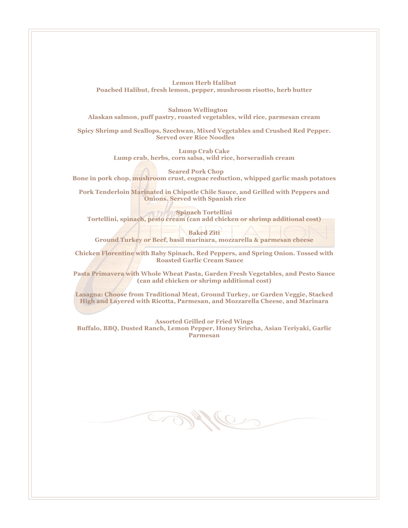**Lemon Herb Halibut Poached Halibut, fresh lemon, pepper, mushroom risotto, herb butter** 

**Salmon Wellington Alaskan salmon, puff pastry, roasted vegetables, wild rice, parmesan cream**

**Spicy Shrimp and Scallops, Szechwan, Mixed Vegetables and Crushed Red Pepper. Served over Rice Noodles**

> **Lump Crab Cake Lump crab, herbs, corn salsa, wild rice, horseradish cream**

**Seared Pork Chop Bone in pork chop, mushroom crust, cognac reduction, whipped garlic mash potatoes**

**Pork Tenderloin Marinated in Chipotle Chile Sauce, and Grilled with Peppers and Onions. Served with Spanish rice**

**Spinach Tortellini Tortellini, spinach, pesto cream (can add chicken or shrimp additional cost)**

**Baked Ziti** 

**Ground Turkey or Beef, basil marinara, mozzarella & parmesan cheese**

**Chicken Florentine with Baby Spinach, Red Peppers, and Spring Onion. Tossed with Roasted Garlic Cream Sauce**

**Pasta Primavera with Whole Wheat Pasta, Garden Fresh Vegetables, and Pesto Sauce (can add chicken or shrimp additional cost)** 

**Lasagna: Choose from Traditional Meat, Ground Turkey, or Garden Veggie, Stacked High and Layered with Ricotta, Parmesan, and Mozzarella Cheese, and Marinara**

**Assorted Grilled or Fried Wings Buffalo, BBQ, Dusted Ranch, Lemon Pepper, Honey Srircha, Asian Teriyaki, Garlic Parmesan** 

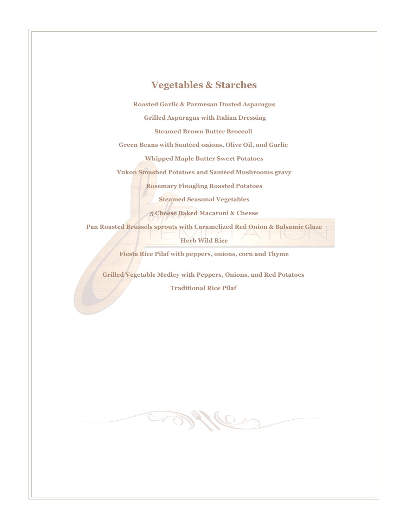### **Vegetables & Starches**

**Roasted Garlic & Parmesan Dusted Asparagus**

**Grilled Asparagus with Italian Dressing**

**Steamed Brown Butter Broccoli**

**Green Beans with Sautéed onions, Olive Oil, and Garlic**

**Whipped Maple Butter Sweet Potatoes**

**Yukon Smashed Potatoes and Sautéed Mushrooms gravy** 

**Rosemary Finagling Roasted Potatoes** 

**Steamed Seasonal Vegetables** 

**5 Cheese Baked Macaroni & Cheese** 

**Pan Roasted Brussels sprouts with Caramelized Red Onion & Balsamic Glaze Herb Wild Rice**

**Fiesta Rice Pilaf with peppers, onions, corn and Thyme**

**Grilled Vegetable Medley with Peppers, Onions, and Red Potatoes**

**Traditional Rice Pilaf**

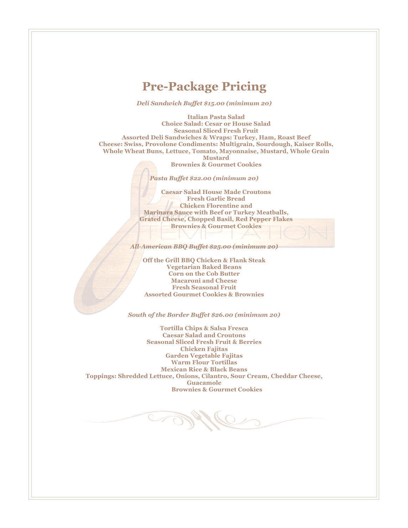### **Pre-Package Pricing**

*Deli Sandwich Buffet \$15.00 (minimum 20)*

**Italian Pasta Salad Choice Salad: Cesar or House Salad Seasonal Sliced Fresh Fruit Assorted Deli Sandwiches & Wraps: Turkey, Ham, Roast Beef Cheese: Swiss, Provolone Condiments: Multigrain, Sourdough, Kaiser Rolls, Whole Wheat Buns, Lettuce, Tomato, Mayonnaise, Mustard, Whole Grain Mustard**

**Brownies & Gourmet Cookies**

*Pasta Buffet \$22.00 (minimum 20)*

**Caesar Salad House Made Croutons Fresh Garlic Bread Chicken Florentine and Marinara Sauce with Beef or Turkey Meatballs, Grated Cheese, Chopped Basil, Red Pepper Flakes Brownies & Gourmet Cookies**

*All-American BBQ Buffet \$25.00 (minimum 20)*

**Off the Grill BBQ Chicken & Flank Steak Vegetarian Baked Beans Corn on the Cob Butter Macaroni and Cheese Fresh Seasonal Fruit Assorted Gourmet Cookies & Brownies**

*South of the Border Buffet \$26.00 (minimum 20)* 

**Tortilla Chips & Salsa Fresca Caesar Salad and Croutons Seasonal Sliced Fresh Fruit & Berries Chicken Fajitas Garden Vegetable Fajitas Warm Flour Tortillas Mexican Rice & Black Beans Toppings: Shredded Lettuce, Onions, Cilantro, Sour Cream, Cheddar Cheese, Guacamole Brownies & Gourmet Cookies**

 $\mathbb{Z}$